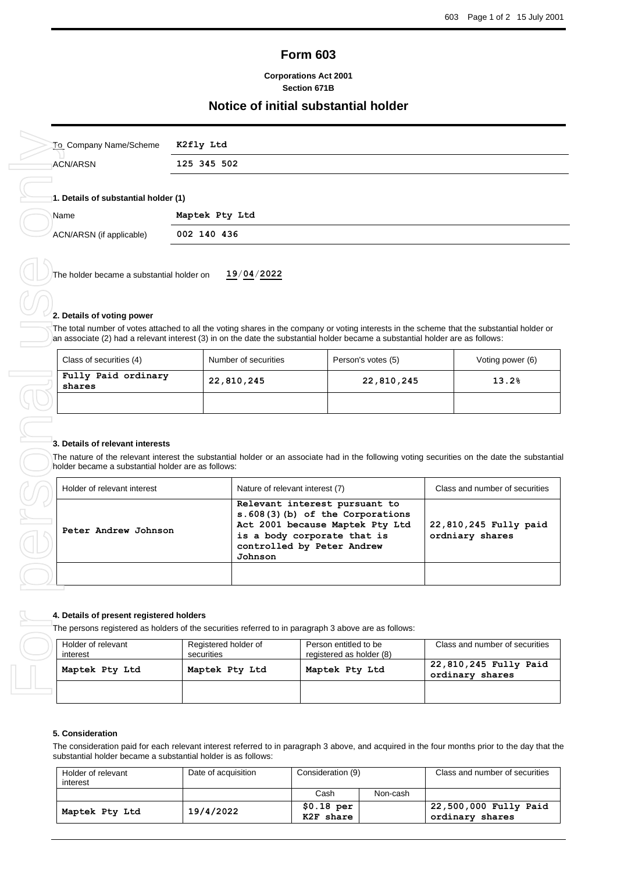# **Form 603**

### **Corporations Act 2001 Section 671B**

# **Notice of initial substantial holder**

| To Company Name/Scheme                       | K2fly Ltd      |
|----------------------------------------------|----------------|
| ACN/ARSN                                     | 125 345 502    |
| 1. Details of substantial holder (1)<br>Name | Maptek Pty Ltd |
| ACN/ARSN (if applicable)                     | 002 140 436    |
|                                              |                |

The holder became a substantial holder on **19**/**04**/**2022**

#### **2. Details of voting power**

The total number of votes attached to all the voting shares in the company or voting interests in the scheme that the substantial holder or an associate (2) had a relevant interest (3) in on the date the substantial holder became a substantial holder are as follows:

| Class of securities (4)       | Number of securities<br>Person's votes (5) |            | Voting power (6) |
|-------------------------------|--------------------------------------------|------------|------------------|
| Fully Paid ordinary<br>shares | 22,810,245                                 | 22,810,245 | 13.2%            |
|                               |                                            |            |                  |

#### **3. Details of relevant interests**

The nature of the relevant interest the substantial holder or an associate had in the following voting securities on the date the substantial holder became a substantial holder are as follows:

| Holder of relevant interest |                      | Nature of relevant interest (7)                                                                                                                                              | Class and number of securities           |
|-----------------------------|----------------------|------------------------------------------------------------------------------------------------------------------------------------------------------------------------------|------------------------------------------|
|                             | Peter Andrew Johnson | Relevant interest pursuant to<br>s. 608(3)(b) of the Corporations<br>Act 2001 because Maptek Pty Ltd<br>is a body corporate that is<br>controlled by Peter Andrew<br>Johnson | 22,810,245 Fully paid<br>ordniary shares |
|                             |                      |                                                                                                                                                                              |                                          |

### **4. Details of present registered holders**

The persons registered as holders of the securities referred to in paragraph 3 above are as follows:

| Holder of relevant<br>interest | Registered holder of<br>securities | Person entitled to be<br>registered as holder (8) | Class and number of securities           |
|--------------------------------|------------------------------------|---------------------------------------------------|------------------------------------------|
| Maptek Pty Ltd                 | Maptek Pty Ltd                     | Maptek Pty Ltd                                    | 22,810,245 Fully Paid<br>ordinary shares |
|                                |                                    |                                                   |                                          |

#### **5. Consideration**

The consideration paid for each relevant interest referred to in paragraph 3 above, and acquired in the four months prior to the day that the substantial holder became a substantial holder is as follows:

| Holder of relevant<br>interest | Date of acquisition | Consideration (9)        |          | Class and number of securities           |
|--------------------------------|---------------------|--------------------------|----------|------------------------------------------|
|                                |                     | Cash                     | Non-cash |                                          |
| Maptek Pty Ltd                 | 19/4/2022           | $$0.18$ per<br>K2F share |          | 22,500,000 Fully Paid<br>ordinary shares |